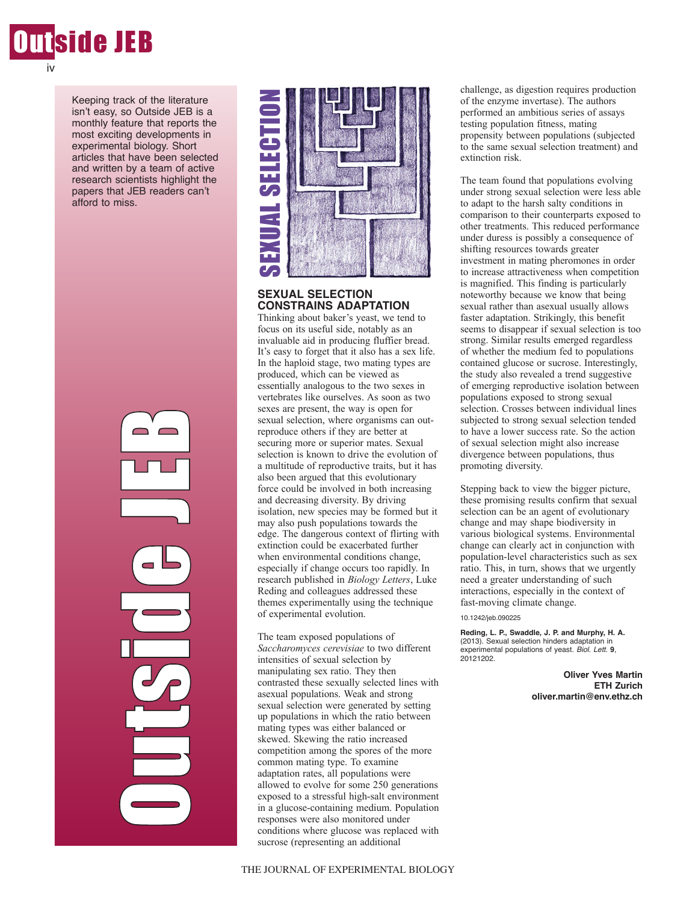

iv

Keeping track of the literature isn't easy, so Outside JEB is a monthly feature that reports the most exciting developments in experimental biology. Short articles that have been selected and written by a team of active research scientists highlight the papers that JEB readers can't afford to miss.





# **SEXUAL SELECTION CONSTRAINS ADAPTATION**

Thinking about baker's yeast, we tend to focus on its useful side, notably as an invaluable aid in producing fluffier bread. It's easy to forget that it also has a sex life. In the haploid stage, two mating types are produced, which can be viewed as essentially analogous to the two sexes in vertebrates like ourselves. As soon as two sexes are present, the way is open for sexual selection, where organisms can outreproduce others if they are better at securing more or superior mates. Sexual selection is known to drive the evolution of a multitude of reproductive traits, but it has also been argued that this evolutionary force could be involved in both increasing and decreasing diversity. By driving isolation, new species may be formed but it may also push populations towards the edge. The dangerous context of flirting with extinction could be exacerbated further when environmental conditions change, especially if change occurs too rapidly. In research published in *Biology Letters*, Luke Reding and colleagues addressed these themes experimentally using the technique of experimental evolution. **EXERCT AND AN ADVENTUATIVE SUCREM SECTION**<br> **SEXUAL SELECTION**<br>
CONSTRAINS ADAPTATIO<br>
Thinking about bake is year, we then there is year, the thing about bake is in producing fluffies and in producing fluffies cases were

The team exposed populations of *Saccharomyces cerevisiae* to two different intensities of sexual selection by manipulating sex ratio. They then contrasted these sexually selected lines with asexual populations. Weak and strong sexual selection were generated by setting up populations in which the ratio between mating types was either balanced or skewed. Skewing the ratio increased competition among the spores of the more common mating type. To examine adaptation rates, all populations were allowed to evolve for some 250 generations exposed to a stressful high-salt environment in a glucose-containing medium. Population responses were also monitored under conditions where glucose was replaced with sucrose (representing an additional

The team found that populations evolving under strong sexual selection were less able to adapt to the harsh salty conditions in comparison to their counterparts exposed to other treatments. This reduced performance under duress is possibly a consequence of shifting resources towards greater investment in mating pheromones in order to increase attractiveness when competition is magnified. This finding is particularly noteworthy because we know that being sexual rather than asexual usually allows faster adaptation. Strikingly, this benefit seems to disappear if sexual selection is too strong. Similar results emerged regardless of whether the medium fed to populations contained glucose or sucrose. Interestingly, the study also revealed a trend suggestive of emerging reproductive isolation between populations exposed to strong sexual selection. Crosses between individual lines subjected to strong sexual selection tended to have a lower success rate. So the action of sexual selection might also increase divergence between populations, thus promoting diversity.

Stepping back to view the bigger picture, these promising results confirm that sexual selection can be an agent of evolutionary change and may shape biodiversity in various biological systems. Environmental change can clearly act in conjunction with population-level characteristics such as sex ratio. This, in turn, shows that we urgently need a greater understanding of such interactions, especially in the context of fast-moving climate change.

10.1242/jeb.090225

**Reding, L. P., Swaddle, J. P. and Murphy, H. A.** (2013). Sexual selection hinders adaptation in experimental populations of yeast. *Biol. Lett.* **9**, 20121202.

> **Oliver Yves Martin ETH Zurich oliver.martin@env.ethz.ch**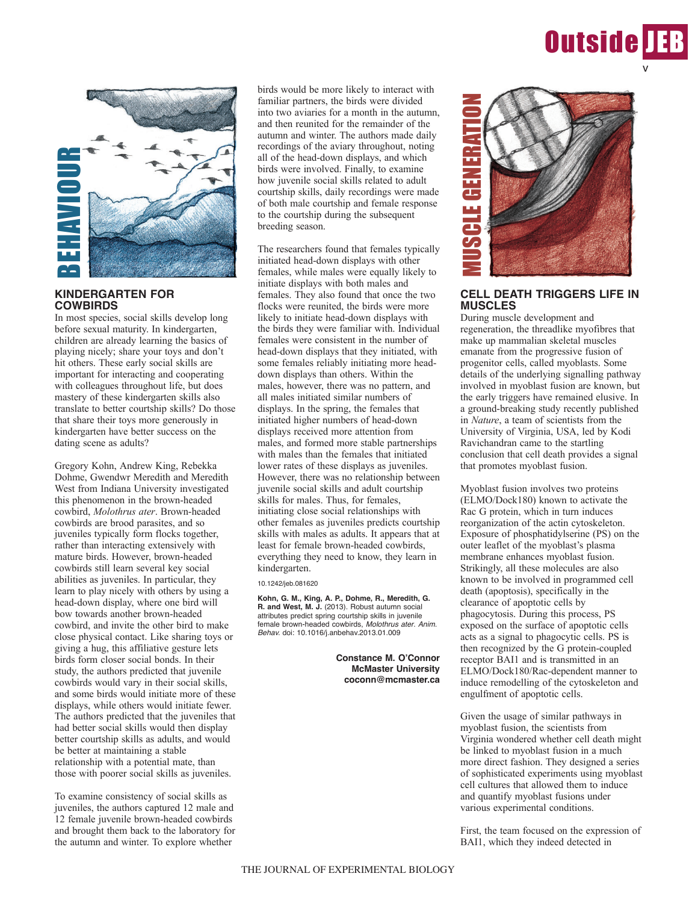



## **KINDERGARTEN FOR COWBIRDS**

In most species, social skills develop long before sexual maturity. In kindergarten, children are already learning the basics of playing nicely; share your toys and don't hit others. These early social skills are important for interacting and cooperating with colleagues throughout life, but does mastery of these kindergarten skills also translate to better courtship skills? Do those that share their toys more generously in kindergarten have better success on the dating scene as adults?

Gregory Kohn, Andrew King, Rebekka Dohme, Gwendwr Meredith and Meredith West from Indiana University investigated this phenomenon in the brown-headed cowbird, *Molothrus ater*. Brown-headed cowbirds are brood parasites, and so juveniles typically form flocks together, rather than interacting extensively with mature birds. However, brown-headed cowbirds still learn several key social abilities as juveniles. In particular, they learn to play nicely with others by using a head-down display, where one bird will bow towards another brown-headed cowbird, and invite the other bird to make close physical contact. Like sharing toys or giving a hug, this affiliative gesture lets birds form closer social bonds. In their study, the authors predicted that juvenile cowbirds would vary in their social skills, and some birds would initiate more of these displays, while others would initiate fewer. The authors predicted that the juveniles that had better social skills would then display better courtship skills as adults, and would be better at maintaining a stable relationship with a potential mate, than those with poorer social skills as juveniles.

To examine consistency of social skills as juveniles, the authors captured 12 male and 12 female juvenile brown-headed cowbirds and brought them back to the laboratory for the autumn and winter. To explore whether

birds would be more likely to interact with familiar partners, the birds were divided into two aviaries for a month in the autumn, and then reunited for the remainder of the autumn and winter. The authors made daily recordings of the aviary throughout, noting all of the head-down displays, and which birds were involved. Finally, to examine how juvenile social skills related to adult courtship skills, daily recordings were made of both male courtship and female response to the courtship during the subsequent breeding season.

The researchers found that females typically initiated head-down displays with other females, while males were equally likely to initiate displays with both males and females. They also found that once the two flocks were reunited, the birds were more likely to initiate head-down displays with the birds they were familiar with. Individual females were consistent in the number of head-down displays that they initiated, with some females reliably initiating more headdown displays than others. Within the males, however, there was no pattern, and all males initiated similar numbers of displays. In the spring, the females that initiated higher numbers of head-down displays received more attention from males, and formed more stable partnerships with males than the females that initiated lower rates of these displays as juveniles. However, there was no relationship between juvenile social skills and adult courtship skills for males. Thus, for females, initiating close social relationships with other females as juveniles predicts courtship skills with males as adults. It appears that at least for female brown-headed cowbirds, everything they need to know, they learn in kindergarten.

10.1242/jeb.081620

**Kohn, G. M., King, A. P., Dohme, R., Meredith, G. R. and West, M. J.** (2013). Robust autumn social attributes predict spring courtship skills in juvenile female brown-headed cowbirds, *Molothrus ater*. *Anim. Behav.* doi: 10.1016/j.anbehav.2013.01.009

> **Constance M. O'Connor McMaster University coconn@mcmaster.ca**



# **CELL DEATH TRIGGERS LIFE IN MUSCLES**

During muscle development and regeneration, the threadlike myofibres that make up mammalian skeletal muscles emanate from the progressive fusion of progenitor cells, called myoblasts. Some details of the underlying signalling pathway involved in myoblast fusion are known, but the early triggers have remained elusive. In a ground-breaking study recently published in *Nature*, a team of scientists from the University of Virginia, USA, led by Kodi Ravichandran came to the startling conclusion that cell death provides a signal that promotes myoblast fusion.

Myoblast fusion involves two proteins (ELMO/Dock180) known to activate the Rac G protein, which in turn induces reorganization of the actin cytoskeleton. Exposure of phosphatidylserine (PS) on the outer leaflet of the myoblast's plasma membrane enhances myoblast fusion. Strikingly, all these molecules are also known to be involved in programmed cell death (apoptosis), specifically in the clearance of apoptotic cells by phagocytosis. During this process, PS exposed on the surface of apoptotic cells acts as a signal to phagocytic cells. PS is then recognized by the G protein-coupled receptor BAI1 and is transmitted in an ELMO/Dock180/Rac-dependent manner to induce remodelling of the cytoskeleton and engulfment of apoptotic cells.

Given the usage of similar pathways in myoblast fusion, the scientists from Virginia wondered whether cell death might be linked to myoblast fusion in a much more direct fashion. They designed a series of sophisticated experiments using myoblast cell cultures that allowed them to induce and quantify myoblast fusions under various experimental conditions.

First, the team focused on the expression of BAI1, which they indeed detected in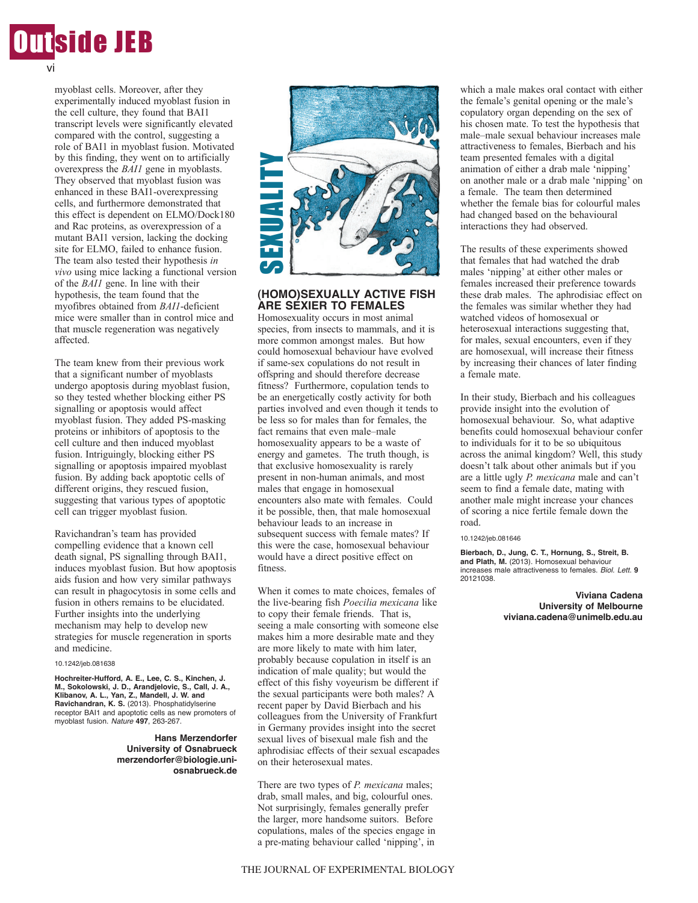

myoblast cells. Moreover, after they experimentally induced myoblast fusion in the cell culture, they found that BAI1 transcript levels were significantly elevated compared with the control, suggesting a role of BAI1 in myoblast fusion. Motivated by this finding, they went on to artificially overexpress the *BAI1* gene in myoblasts. They observed that myoblast fusion was enhanced in these BAI1-overexpressing cells, and furthermore demonstrated that this effect is dependent on ELMO/Dock180 and Rac proteins, as overexpression of a mutant BAI1 version, lacking the docking site for ELMO, failed to enhance fusion. The team also tested their hypothesis *in vivo* using mice lacking a functional version of the *BAI1* gene. In line with their hypothesis, the team found that the myofibres obtained from *BAI1*-deficient mice were smaller than in control mice and that muscle regeneration was negatively affected.

The team knew from their previous work that a significant number of myoblasts undergo apoptosis during myoblast fusion, so they tested whether blocking either PS signalling or apoptosis would affect myoblast fusion. They added PS-masking proteins or inhibitors of apoptosis to the cell culture and then induced myoblast fusion. Intriguingly, blocking either PS signalling or apoptosis impaired myoblast fusion. By adding back apoptotic cells of different origins, they rescued fusion, suggesting that various types of apoptotic cell can trigger myoblast fusion.

Ravichandran's team has provided compelling evidence that a known cell death signal, PS signalling through BAI1, induces myoblast fusion. But how apoptosis aids fusion and how very similar pathways can result in phagocytosis in some cells and fusion in others remains to be elucidated. Further insights into the underlying mechanism may help to develop new strategies for muscle regeneration in sports and medicine.

#### 10.1242/jeb.081638

**Hochreiter-Hufford, A. E., Lee, C. S., Kinchen, J. M., Sokolowski, J. D., Arandjelovic, S., Call, J. A., Klibanov, A. L., Yan, Z., Mandell, J. W. and Ravichandran, K. S.** (2013). Phosphatidylserine receptor BAI1 and apoptotic cells as new promoters of myoblast fusion. *Nature* **497**, 263-267.

#### **Hans Merzendorfer University of Osnabrueck merzendorfer@biologie.uniosnabrueck.de**



## **(HOMO)SEXUALLY ACTIVE FISH ARE SEXIER TO FEMALES**

Homosexuality occurs in most animal species, from insects to mammals, and it is more common amongst males. But how could homosexual behaviour have evolved if same-sex copulations do not result in offspring and should therefore decrease fitness? Furthermore, copulation tends to be an energetically costly activity for both parties involved and even though it tends to be less so for males than for females, the fact remains that even male–male homosexuality appears to be a waste of energy and gametes. The truth though, is that exclusive homosexuality is rarely present in non-human animals, and most males that engage in homosexual encounters also mate with females. Could it be possible, then, that male homosexual behaviour leads to an increase in subsequent success with female mates? If this were the case, homosexual behaviour would have a direct positive effect on fitness.

When it comes to mate choices, females of the live-bearing fish *Poecilia mexicana* like to copy their female friends. That is, seeing a male consorting with someone else makes him a more desirable mate and they are more likely to mate with him later, probably because copulation in itself is an indication of male quality; but would the effect of this fishy voyeurism be different if the sexual participants were both males? A recent paper by David Bierbach and his colleagues from the University of Frankfurt in Germany provides insight into the secret sexual lives of bisexual male fish and the aphrodisiac effects of their sexual escapades on their heterosexual mates.

There are two types of *P. mexicana* males; drab, small males, and big, colourful ones. Not surprisingly, females generally prefer the larger, more handsome suitors. Before copulations, males of the species engage in a pre-mating behaviour called 'nipping', in

which a male makes oral contact with either the female's genital opening or the male's copulatory organ depending on the sex of his chosen mate. To test the hypothesis that male–male sexual behaviour increases male attractiveness to females, Bierbach and his team presented females with a digital animation of either a drab male 'nipping' on another male or a drab male 'nipping' on a female. The team then determined whether the female bias for colourful males had changed based on the behavioural interactions they had observed.

The results of these experiments showed that females that had watched the drab males 'nipping' at either other males or females increased their preference towards these drab males. The aphrodisiac effect on the females was similar whether they had watched videos of homosexual or heterosexual interactions suggesting that, for males, sexual encounters, even if they are homosexual, will increase their fitness by increasing their chances of later finding a female mate.

In their study, Bierbach and his colleagues provide insight into the evolution of homosexual behaviour. So, what adaptive benefits could homosexual behaviour confer to individuals for it to be so ubiquitous across the animal kingdom? Well, this study doesn't talk about other animals but if you are a little ugly *P. mexicana* male and can't seem to find a female date, mating with another male might increase your chances of scoring a nice fertile female down the road.

### 10.1242/jeb.081646

**Bierbach, D., Jung, C. T., Hornung, S., Streit, B. and Plath, M.** (2013). Homosexual behaviour increases male attractiveness to females. *Biol. Lett.* **9** 20121038.

> **Viviana Cadena University of Melbourne viviana.cadena@unimelb.edu.au**